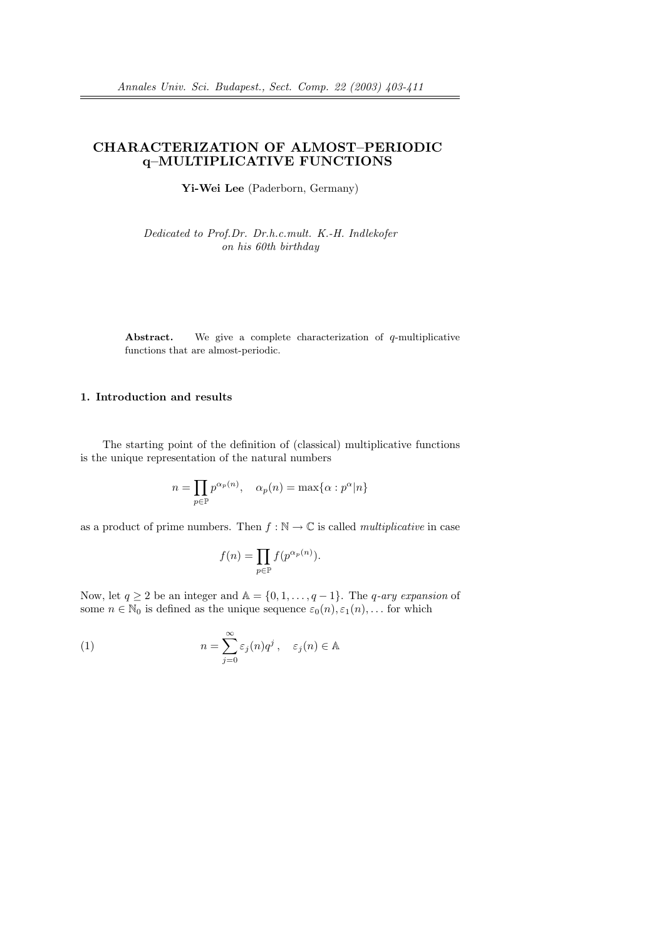# CHARACTERIZATION OF ALMOST–PERIODIC q–MULTIPLICATIVE FUNCTIONS

Yi-Wei Lee (Paderborn, Germany)

Dedicated to Prof.Dr. Dr.h.c.mult. K.-H. Indlekofer on his 60th birthday

Abstract. We give a complete characterization of q-multiplicative functions that are almost-periodic.

## 1. Introduction and results

The starting point of the definition of (classical) multiplicative functions is the unique representation of the natural numbers

$$
n = \prod_{p \in \mathbb{P}} p^{\alpha_p(n)}, \quad \alpha_p(n) = \max\{\alpha : p^{\alpha} | n\}
$$

as a product of prime numbers. Then  $f : \mathbb{N} \to \mathbb{C}$  is called *multiplicative* in case

$$
f(n) = \prod_{p \in \mathbb{P}} f(p^{\alpha_p(n)}).
$$

Now, let  $q \ge 2$  be an integer and  $\mathbb{A} = \{0, 1, \ldots, q-1\}$ . The q-ary expansion of some  $n \in \mathbb{N}_0$  is defined as the unique sequence  $\varepsilon_0(n), \varepsilon_1(n), \dots$  for which

(1) 
$$
n = \sum_{j=0}^{\infty} \varepsilon_j(n) q^j, \quad \varepsilon_j(n) \in \mathbb{A}
$$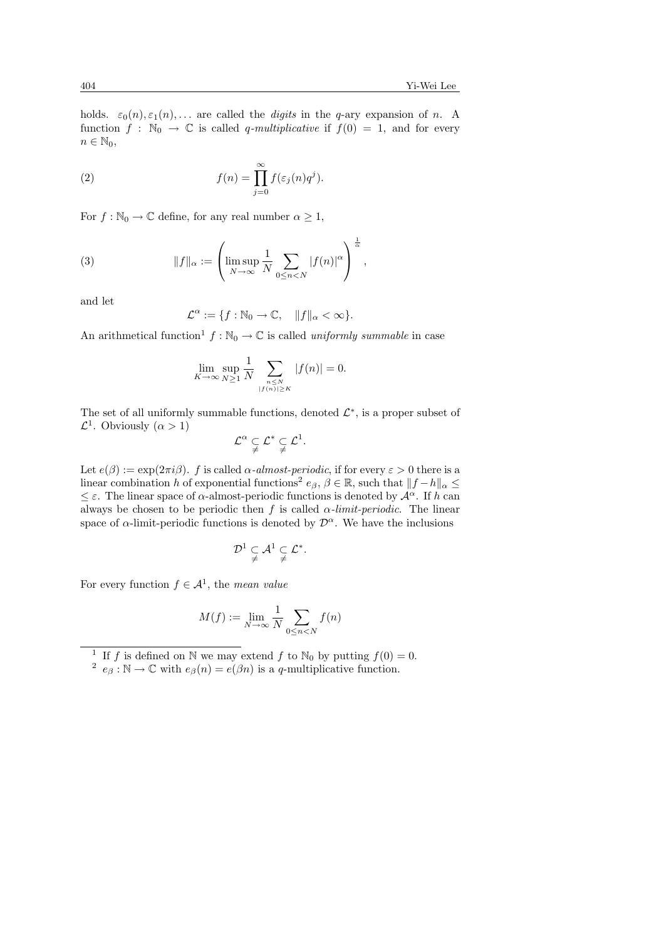holds.  $\varepsilon_0(n), \varepsilon_1(n), \ldots$  are called the *digits* in the *q*-ary expansion of *n*. A function  $f : \mathbb{N}_0 \to \mathbb{C}$  is called q-multiplicative if  $f(0) = 1$ , and for every  $n \in \mathbb{N}_0$ ,

(2) 
$$
f(n) = \prod_{j=0}^{\infty} f(\varepsilon_j(n)q^j).
$$

For  $f : \mathbb{N}_0 \to \mathbb{C}$  define, for any real number  $\alpha \geq 1$ ,

(3) 
$$
||f||_{\alpha} := \left(\limsup_{N \to \infty} \frac{1}{N} \sum_{0 \leq n < N} |f(n)|^{\alpha}\right)^{\frac{1}{\alpha}},
$$

and let

$$
\mathcal{L}^{\alpha} := \{ f : \mathbb{N}_0 \to \mathbb{C}, \quad ||f||_{\alpha} < \infty \}.
$$

An arithmetical function<sup>1</sup>  $f : \mathbb{N}_0 \to \mathbb{C}$  is called uniformly summable in case

$$
\lim_{K \to \infty} \sup_{N \ge 1} \frac{1}{N} \sum_{\substack{n \le N \\ |f(n)| \ge K}} |f(n)| = 0.
$$

The set of all uniformly summable functions, denoted  $\mathcal{L}^*$ , is a proper subset of  $\mathcal{L}^1$ . Obviously  $(\alpha > 1)$ 

$$
\mathcal{L}^{\alpha} \subsetneq \mathcal{L}^* \subsetneq \mathcal{L}^1.
$$

Let  $e(\beta) := \exp(2\pi i \beta)$ . f is called  $\alpha$ -almost-periodic, if for every  $\varepsilon > 0$  there is a linear combination h of exponential functions<sup>2</sup>  $e_{\beta}$ ,  $\beta \in \mathbb{R}$ , such that  $||f - h||_{\alpha} \le$  $\leq \varepsilon$ . The linear space of  $\alpha$ -almost-periodic functions is denoted by  $\mathcal{A}^{\alpha}$ . If h can always be chosen to be periodic then f is called  $\alpha$ -limit-periodic. The linear space of  $\alpha$ -limit-periodic functions is denoted by  $\mathcal{D}^{\alpha}$ . We have the inclusions

$$
\mathcal{D}^1\subsetneqq\mathcal{A}^1\subsetneqq\mathcal{L}^*.
$$

For every function  $f \in \mathcal{A}^1$ , the mean value

$$
M(f) := \lim_{N \to \infty} \frac{1}{N} \sum_{0 \le n < N} f(n)
$$

<sup>1</sup> If f is defined on N we may extend f to N<sub>0</sub> by putting  $f(0) = 0$ .

<sup>&</sup>lt;sup>2</sup>  $e_{\beta}$ : N  $\rightarrow \mathbb{C}$  with  $e_{\beta}(n) = e(\beta n)$  is a q-multiplicative function.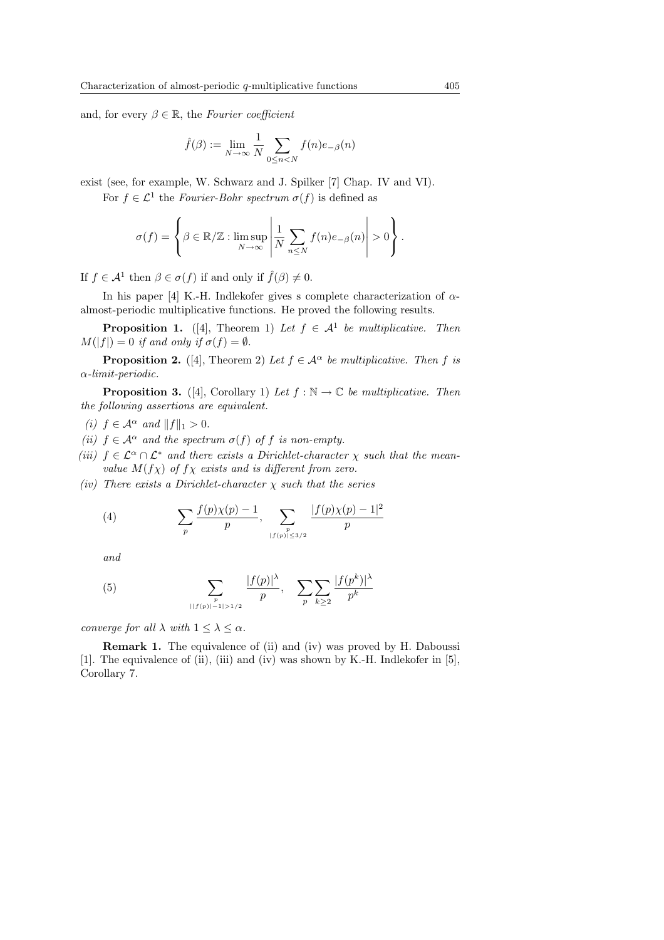and, for every  $\beta \in \mathbb{R}$ , the Fourier coefficient

$$
\hat{f}(\beta) := \lim_{N \to \infty} \frac{1}{N} \sum_{0 \leq n < N} f(n) e_{-\beta}(n)
$$

exist (see, for example, W. Schwarz and J. Spilker [7] Chap. IV and VI).

For  $f \in \mathcal{L}^1$  the Fourier-Bohr spectrum  $\sigma(f)$  is defined as

$$
\sigma(f) = \left\{ \beta \in \mathbb{R}/\mathbb{Z} : \limsup_{N \to \infty} \left| \frac{1}{N} \sum_{n \leq N} f(n) e_{-\beta}(n) \right| > 0 \right\}.
$$

If  $f \in \mathcal{A}^1$  then  $\beta \in \sigma(f)$  if and only if  $\hat{f}(\beta) \neq 0$ .

In his paper [4] K.-H. Indlekofer gives s complete characterization of  $\alpha$ almost-periodic multiplicative functions. He proved the following results.

**Proposition 1.** ([4], Theorem 1) Let  $f \in A^1$  be multiplicative. Then  $M(|f|) = 0$  if and only if  $\sigma(f) = \emptyset$ .

**Proposition 2.** ([4], Theorem 2) Let  $f \in A^{\alpha}$  be multiplicative. Then f is α-limit-periodic.

**Proposition 3.** ([4], Corollary 1) Let  $f : \mathbb{N} \to \mathbb{C}$  be multiplicative. Then the following assertions are equivalent.

(i)  $f \in \mathcal{A}^{\alpha}$  and  $||f||_1 > 0$ .

- (ii)  $f \in A^{\alpha}$  and the spectrum  $\sigma(f)$  of f is non-empty.
- (iii)  $f \in \mathcal{L}^{\alpha} \cap \mathcal{L}^*$  and there exists a Dirichlet-character  $\chi$  such that the meanvalue  $M(f\chi)$  of  $f\chi$  exists and is different from zero.
- (iv) There exists a Dirichlet-character  $\chi$  such that the series

(4) 
$$
\sum_{p} \frac{f(p)\chi(p)-1}{p}, \sum_{\substack{p \ |f(p)| \leq 3/2}} \frac{|f(p)\chi(p)-1|^2}{p}
$$

and

(5) 
$$
\sum_{\substack{p \ |f(p)|-1|>1/2}} \frac{|f(p)|^{\lambda}}{p}, \quad \sum_{p} \sum_{k\geq 2} \frac{|f(p^k)|^{\lambda}}{p^k}
$$

converge for all  $\lambda$  with  $1 \leq \lambda \leq \alpha$ .

Remark 1. The equivalence of (ii) and (iv) was proved by H. Daboussi [1]. The equivalence of (ii), (iii) and (iv) was shown by K.-H. Indlekofer in [5], Corollary 7.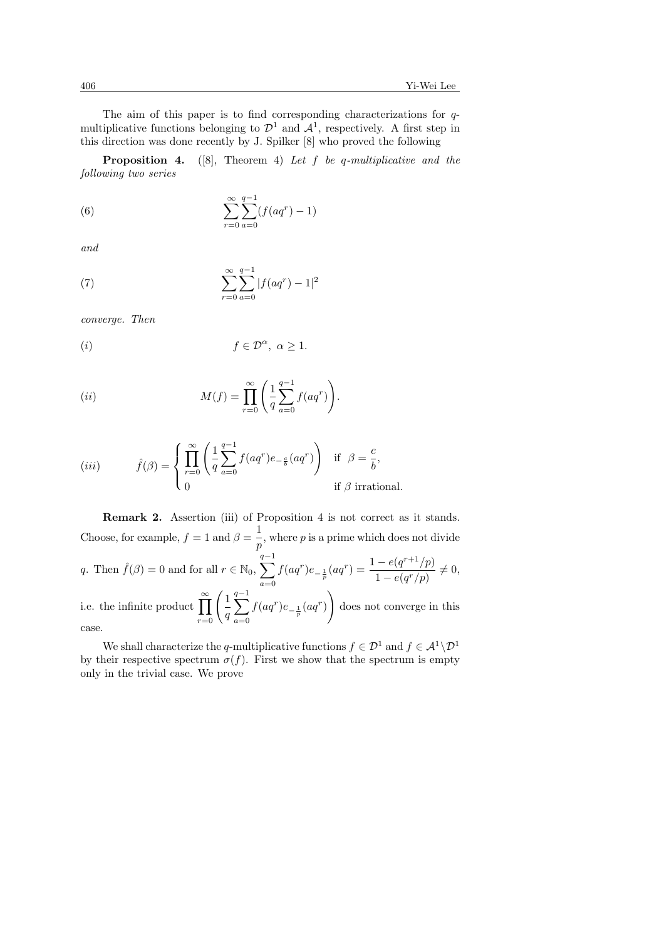The aim of this paper is to find corresponding characterizations for qmultiplicative functions belonging to  $\mathcal{D}^1$  and  $\mathcal{A}^1$ , respectively. A first step in this direction was done recently by J. Spilker [8] who proved the following

**Proposition 4.** ([8], Theorem 4) Let f be q-multiplicative and the following two series

(6) 
$$
\sum_{r=0}^{\infty} \sum_{a=0}^{q-1} (f(aq^r) - 1)
$$

and

(7) 
$$
\sum_{r=0}^{\infty} \sum_{a=0}^{q-1} |f(aq^r) - 1|^2
$$

converge. Then

$$
(i) \t\t f \in \mathcal{D}^{\alpha}, \ \alpha \ge 1.
$$

$$
(ii) \t\t M(f) = \prod_{r=0}^{\infty} \left( \frac{1}{q} \sum_{a=0}^{q-1} f(aq^r) \right).
$$

(iii) 
$$
\hat{f}(\beta) = \begin{cases} \prod_{r=0}^{\infty} \left( \frac{1}{q} \sum_{a=0}^{q-1} f(aq^r) e_{-\frac{c}{b}}(aq^r) \right) & \text{if } \beta = \frac{c}{b}, \\ 0 & \text{if } \beta \text{ irrational.} \end{cases}
$$

Remark 2. Assertion (iii) of Proposition 4 is not correct as it stands. Choose, for example,  $f = 1$  and  $\beta = \frac{1}{2}$  $\frac{1}{p}$ , where p is a prime which does not divide q. Then  $\hat{f}(\beta) = 0$  and for all  $r \in \mathbb{N}_0$ ,  $\sum_{n=1}^{q-1}$  $a=0$  $f(aq^r)e_{-\frac{1}{p}}(aq^r) = \frac{1-e(q^{r+1}/p)}{1-e(a^r/p)}$  $\frac{c(q-p)}{1-e(q^r/p)}\neq 0,$ i.e. the infinite product  $\prod_{r=0}^{\infty}$ 1 q  $\frac{q-1}{\sqrt{q}}$  $a=0$  $f(aq^r)e_{-\frac{1}{p}}(aq^r)$ !<br>} does not converge in this case.

We shall characterize the q-multiplicative functions  $f \in \mathcal{D}^1$  and  $f \in \mathcal{A}^1 \backslash \mathcal{D}^1$ by their respective spectrum  $\sigma(f)$ . First we show that the spectrum is empty only in the trivial case. We prove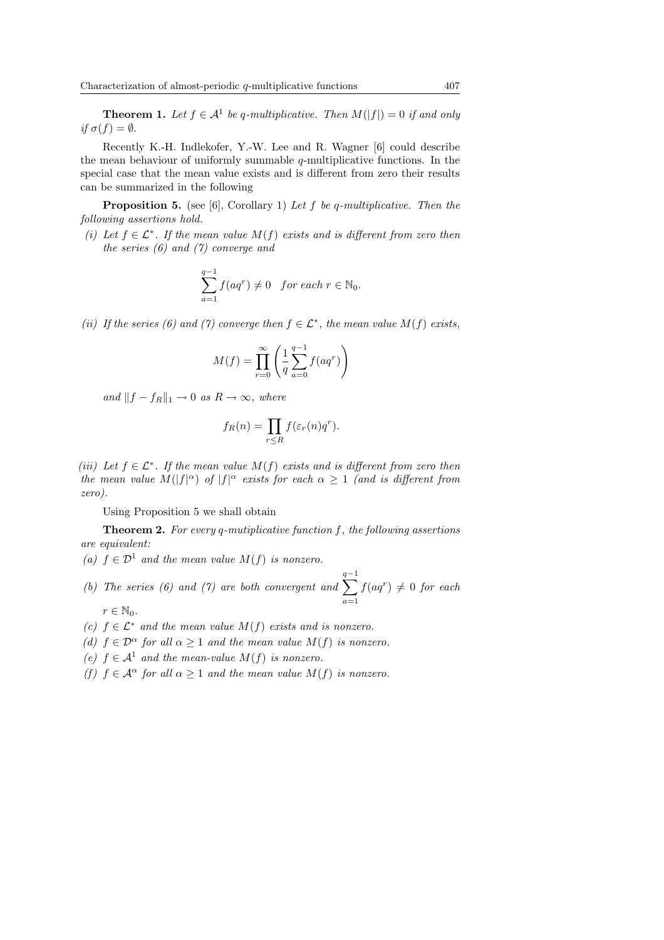**Theorem 1.** Let  $f \in A^1$  be q-multiplicative. Then  $M(|f|) = 0$  if and only if  $\sigma(f) = \emptyset$ .

Recently K.-H. Indlekofer, Y.-W. Lee and R. Wagner [6] could describe the mean behaviour of uniformly summable  $q$ -multiplicative functions. In the special case that the mean value exists and is different from zero their results can be summarized in the following

**Proposition 5.** (see [6], Corollary 1) Let f be q-multiplicative. Then the following assertions hold.

(i) Let  $f \in \mathcal{L}^*$ . If the mean value  $M(f)$  exists and is different from zero then the series (6) and (7) converge and

$$
\sum_{a=1}^{q-1} f(aq^r) \neq 0 \quad \text{for each } r \in \mathbb{N}_0.
$$

(ii) If the series (6) and (7) converge then  $f \in \mathcal{L}^*$ , the mean value  $M(f)$  exists,

$$
M(f) = \prod_{r=0}^{\infty} \left( \frac{1}{q} \sum_{a=0}^{q-1} f(aq^r) \right)
$$

and  $||f - f_R||_1 \rightarrow 0$  as  $R \rightarrow \infty$ , where

$$
f_R(n) = \prod_{r \leq R} f(\varepsilon_r(n)q^r).
$$

(iii) Let  $f \in \mathcal{L}^*$ . If the mean value  $M(f)$  exists and is different from zero then the mean value  $M(|f|^{\alpha})$  of  $|f|^{\alpha}$  exists for each  $\alpha \geq 1$  (and is different from zero).

Using Proposition 5 we shall obtain

**Theorem 2.** For every q-mutiplicative function  $f$ , the following assertions are equivalent:

- (a)  $f \in \mathcal{D}^1$  and the mean value  $M(f)$  is nonzero.
- (b) The series (6) and (7) are both convergent and  $\sum_{n=1}^{q-1}$  $a=1$  $f(aq^r) \neq 0$  for each  $r \in \mathbb{N}_0$ .
- (c)  $f \in \mathcal{L}^*$  and the mean value  $M(f)$  exists and is nonzero.
- (d)  $f \in \mathcal{D}^{\alpha}$  for all  $\alpha \geq 1$  and the mean value  $M(f)$  is nonzero.
- (e)  $f \in A^1$  and the mean-value  $M(f)$  is nonzero.
- (f)  $f \in \mathcal{A}^{\alpha}$  for all  $\alpha \geq 1$  and the mean value  $M(f)$  is nonzero.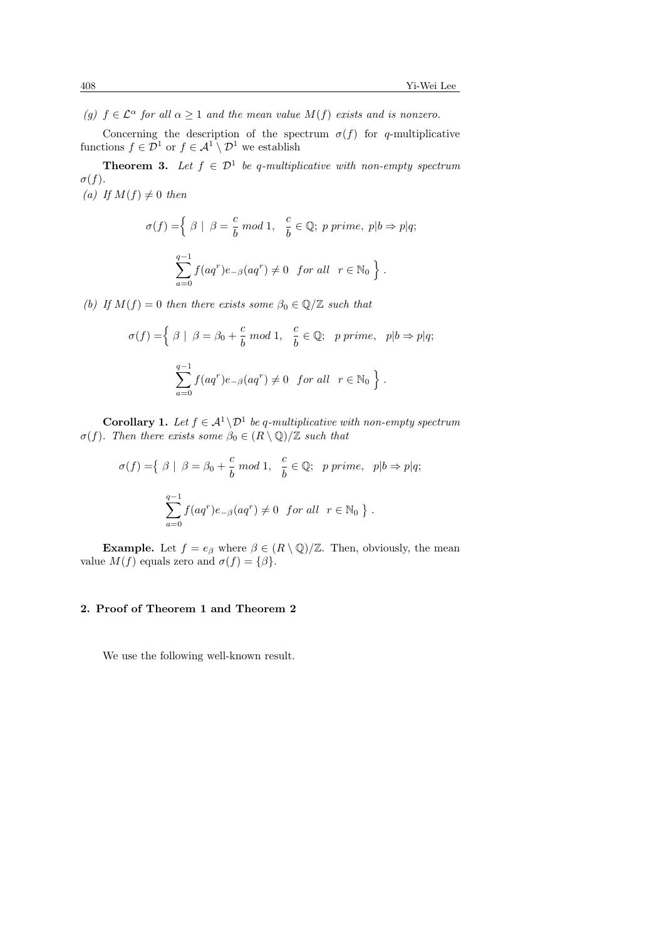(g)  $f \in \mathcal{L}^{\alpha}$  for all  $\alpha \geq 1$  and the mean value  $M(f)$  exists and is nonzero.

Concerning the description of the spectrum  $\sigma(f)$  for q-multiplicative functions  $f \in \mathcal{D}^1$  or  $f \in \mathcal{A}^1 \setminus \mathcal{D}^1$  we establish

**Theorem 3.** Let  $f \in \mathcal{D}^1$  be q-multiplicative with non-empty spectrum  $\sigma(f)$ . (a) If  $M(f) \neq 0$  then

> $\sigma(f) = \begin{cases} \beta & \beta = \frac{c}{h} \end{cases}$  $\frac{c}{b} \mod 1$ ,  $\frac{c}{b}$  $\frac{\partial}{\partial b} \in \mathbb{Q}; \ p \ prime, \ p|b \Rightarrow p|q;$  $\frac{q-1}{\sqrt{q}}$  $a=0$  $f(aq^r)e_{-\beta}(aq^r) \neq 0$  for all  $r \in \mathbb{N}_0$ o .

(b) If  $M(f) = 0$  then there exists some  $\beta_0 \in \mathbb{Q}/\mathbb{Z}$  such that

$$
\sigma(f) = \left\{ \begin{array}{ll} \beta \mid \ \beta = \beta_0 + \frac{c}{b} \bmod 1, & \frac{c}{b} \in \mathbb{Q}; \quad p \text{ prime}, & p|b \Rightarrow p|q; \\\\ \sum_{a=0}^{q-1} f(aq^r)e_{-\beta}(aq^r) \neq 0 & \text{for all} \quad r \in \mathbb{N}_0 \end{array} \right\}.
$$

**Corollary 1.** Let  $f \in \mathcal{A}^1 \backslash \mathcal{D}^1$  be q-multiplicative with non-empty spectrum  $\sigma(f)$ . Then there exists some  $\beta_0 \in (R \setminus \mathbb{Q})/\mathbb{Z}$  such that

$$
\sigma(f) = \{ \beta \mid \beta = \beta_0 + \frac{c}{b} \mod 1, \frac{c}{b} \in \mathbb{Q}; \text{ prime}, \text{ } p|b \Rightarrow p|q;
$$
  

$$
\sum_{a=0}^{q-1} f(aq^r)e_{-\beta}(aq^r) \neq 0 \text{ for all } r \in \mathbb{N}_0 \}.
$$

**Example.** Let  $f = e_{\beta}$  where  $\beta \in (R \setminus \mathbb{Q})/\mathbb{Z}$ . Then, obviously, the mean value  $M(f)$  equals zero and  $\sigma(f) = {\beta}.$ 

#### 2. Proof of Theorem 1 and Theorem 2

We use the following well-known result.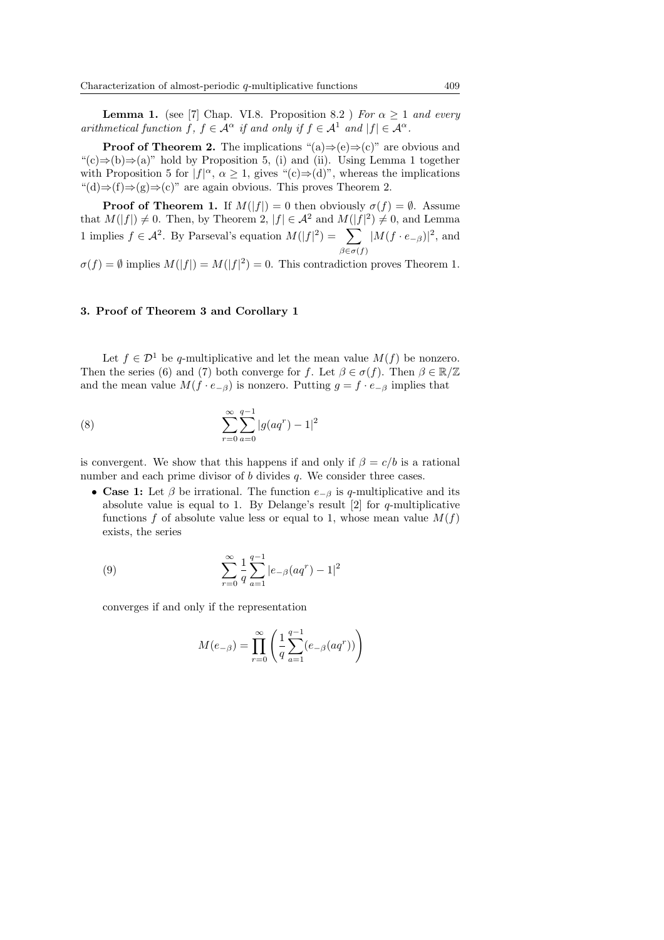**Lemma 1.** (see [7] Chap. VI.8. Proposition 8.2 ) For  $\alpha > 1$  and every arithmetical function f,  $f \in \mathcal{A}^{\alpha}$  if and only if  $f \in \mathcal{A}^1$  and  $|f| \in \mathcal{A}^{\alpha}$ .

**Proof of Theorem 2.** The implications " $(a) \Rightarrow (e) \Rightarrow (c)$ " are obvious and " $(c) \Rightarrow (b) \Rightarrow (a)$ " hold by Proposition 5, (i) and (ii). Using Lemma 1 together with Proposition 5 for  $|f|^{\alpha}$ ,  $\alpha \geq 1$ , gives "(c) $\Rightarrow$ (d)", whereas the implications  $\text{``}(d) \Rightarrow (f) \Rightarrow (g) \Rightarrow (c)$ " are again obvious. This proves Theorem 2.

**Proof of Theorem 1.** If  $M(|f|) = 0$  then obviously  $\sigma(f) = \emptyset$ . Assume that  $M(|f|) \neq 0$ . Then, by Theorem 2,  $|f| \in \mathcal{A}^2$  and  $M(|f|^2) \neq 0$ , and Lemma 1 implies  $f \in \mathcal{A}^2$ . By Parseval's equation  $M(|f|^2) = \sum$  $\beta \in \sigma(f)$  $|M(f \cdot e_{-\beta})|^2$ , and

 $\sigma(f) = \emptyset$  implies  $M(|f|) = M(|f|^2) = 0$ . This contradiction proves Theorem 1.

## 3. Proof of Theorem 3 and Corollary 1

Let  $f \in \mathcal{D}^1$  be q-multiplicative and let the mean value  $M(f)$  be nonzero. Then the series (6) and (7) both converge for f. Let  $\beta \in \sigma(f)$ . Then  $\beta \in \mathbb{R}/\mathbb{Z}$ and the mean value  $M(f \cdot e_{-\beta})$  is nonzero. Putting  $g = f \cdot e_{-\beta}$  implies that

(8) 
$$
\sum_{r=0}^{\infty} \sum_{a=0}^{q-1} |g(aq^r) - 1|^2
$$

is convergent. We show that this happens if and only if  $\beta = c/b$  is a rational number and each prime divisor of b divides q. We consider three cases.

• Case 1: Let  $\beta$  be irrational. The function  $e_{-\beta}$  is q-multiplicative and its absolute value is equal to 1. By Delange's result  $[2]$  for q-multiplicative functions f of absolute value less or equal to 1, whose mean value  $M(f)$ exists, the series

(9) 
$$
\sum_{r=0}^{\infty} \frac{1}{q} \sum_{a=1}^{q-1} |e_{-\beta}(aq^r) - 1|^2
$$

converges if and only if the representation

$$
M(e_{-\beta}) = \prod_{r=0}^{\infty} \left( \frac{1}{q} \sum_{a=1}^{q-1} (e_{-\beta}(aq^r)) \right)
$$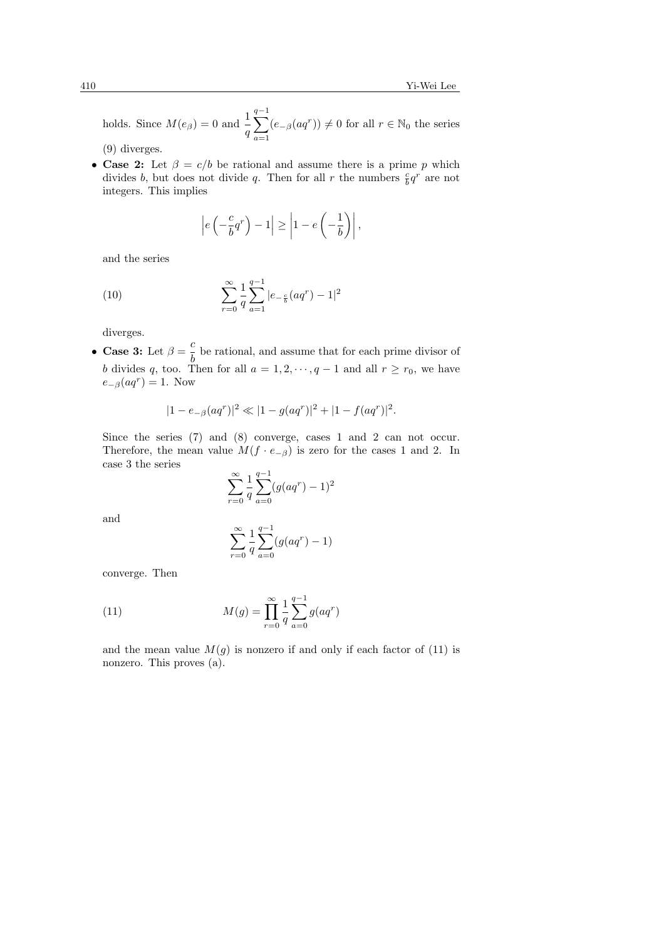holds. Since  $M(e_{\beta}) = 0$  and  $\frac{1}{q}$  $\frac{q-1}{\sqrt{q}}$  $a=1$  $(e_{-\beta}(aq^r)) \neq 0$  for all  $r \in \mathbb{N}_0$  the series

(9) diverges.

• Case 2: Let  $\beta = c/b$  be rational and assume there is a prime p which divides b, but does not divide q. Then for all r the numbers  $\frac{c}{b}q^r$  are not integers. This implies

$$
\left| e\left(-\frac{c}{b}q^r\right) - 1 \right| \ge \left| 1 - e\left(-\frac{1}{b}\right) \right|,
$$

and the series

(10) 
$$
\sum_{r=0}^{\infty} \frac{1}{q} \sum_{a=1}^{q-1} |e_{-\frac{c}{b}}(aq^r) - 1|^2
$$

diverges.

• Case 3: Let  $\beta = \frac{c}{l}$  $\frac{b}{b}$  be rational, and assume that for each prime divisor of b divides q, too. Then for all  $a = 1, 2, \dots, q - 1$  and all  $r \ge r_0$ , we have  $e_{-\beta}(aq^r) = 1.$  Now

$$
|1 - e_{-\beta}(aq^r)|^2 \ll |1 - g(aq^r)|^2 + |1 - f(aq^r)|^2.
$$

Since the series (7) and (8) converge, cases 1 and 2 can not occur. Therefore, the mean value  $M(f \cdot e_{-\beta})$  is zero for the cases 1 and 2. In case 3 the series

$$
\sum_{r=0}^{\infty} \frac{1}{q} \sum_{a=0}^{q-1} (g(aq^r) - 1)^2
$$

and

$$
\sum_{r=0}^{\infty} \frac{1}{q} \sum_{a=0}^{q-1} (g(aq^r) - 1)
$$

converge. Then

(11) 
$$
M(g) = \prod_{r=0}^{\infty} \frac{1}{q} \sum_{a=0}^{q-1} g(aq^r)
$$

and the mean value  $M(g)$  is nonzero if and only if each factor of (11) is nonzero. This proves (a).